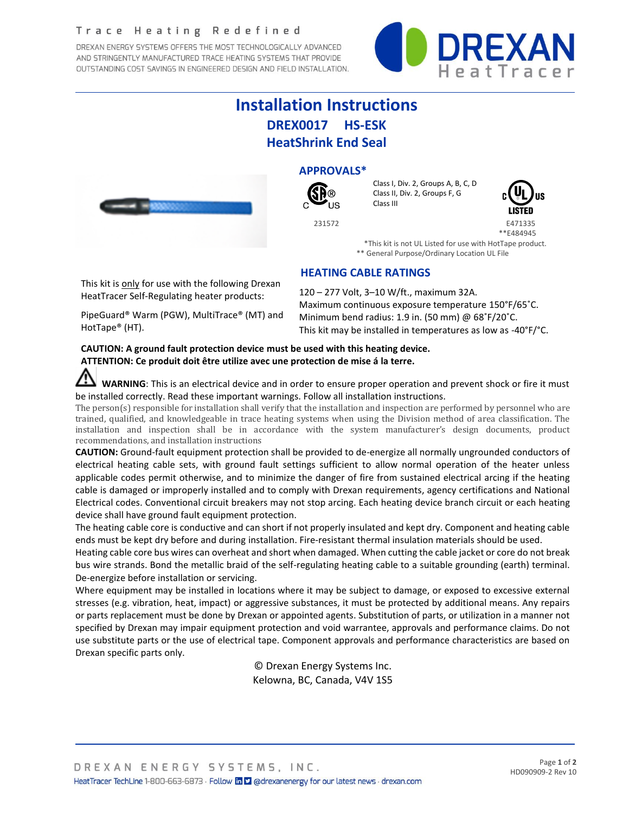#### Trace Heating Redefined

DREXAN ENERGY SYSTEMS OFFERS THE MOST TECHNOLOGICALLY ADVANCED AND STRINGENTLY MANUFACTURED TRACE HEATING SYSTEMS THAT PROVIDE OUTSTANDING COST SAVINGS IN ENGINEERED DESIGN AND FIELD INSTALLATION.



# **Installation Instructions DREX0017 HS-ESK HeatShrink End Seal**



## **APPROVALS\***



231572 E471335

Class I, Div. 2, Groups A, B, C, D  $S$   $\Theta$  Class II, Div. 2, Groups F, G Class III

| $_{\rm c}$ (VL) $_{\rm us}$<br>LISTED |
|---------------------------------------|
| E 1 7 1 2 2 5                         |

\*\*E484945

 \*This kit is not UL Listed for use with HotTape product. \*\* General Purpose/Ordinary Location UL File

## **HEATING CABLE RATINGS**

This kit is only for use with the following Drexan HeatTracer Self-Regulating heater products:

PipeGuard® Warm (PGW), MultiTrace® (MT) and HotTape® (HT).

120 – 277 Volt, 3–10 W/ft., maximum 32A. Maximum continuous exposure temperature 150°F/65˚C. Minimum bend radius: 1.9 in. (50 mm) @ 68˚F/20˚C. This kit may be installed in temperatures as low as -40°F/°C.

#### **CAUTION: A ground fault protection device must be used with this heating device. ATTENTION: Ce produit doit être utilize avec une protection de mise á la terre.**

 **WARNING**: This is an electrical device and in order to ensure proper operation and prevent shock or fire it must be installed correctly. Read these important warnings. Follow all installation instructions.

The person(s) responsible for installation shall verify that the installation and inspection are performed by personnel who are trained, qualified, and knowledgeable in trace heating systems when using the Division method of area classification. The installation and inspection shall be in accordance with the system manufacturer's design documents, product recommendations, and installation instructions

**CAUTION:** Ground-fault equipment protection shall be provided to de-energize all normally ungrounded conductors of electrical heating cable sets, with ground fault settings sufficient to allow normal operation of the heater unless applicable codes permit otherwise, and to minimize the danger of fire from sustained electrical arcing if the heating cable is damaged or improperly installed and to comply with Drexan requirements, agency certifications and National Electrical codes. Conventional circuit breakers may not stop arcing. Each heating device branch circuit or each heating device shall have ground fault equipment protection.

The heating cable core is conductive and can short if not properly insulated and kept dry. Component and heating cable ends must be kept dry before and during installation. Fire-resistant thermal insulation materials should be used.

Heating cable core bus wires can overheat and short when damaged. When cutting the cable jacket or core do not break bus wire strands. Bond the metallic braid of the self-regulating heating cable to a suitable grounding (earth) terminal. De-energize before installation or servicing.

Where equipment may be installed in locations where it may be subject to damage, or exposed to excessive external stresses (e.g. vibration, heat, impact) or aggressive substances, it must be protected by additional means. Any repairs or parts replacement must be done by Drexan or appointed agents. Substitution of parts, or utilization in a manner not specified by Drexan may impair equipment protection and void warrantee, approvals and performance claims. Do not use substitute parts or the use of electrical tape. Component approvals and performance characteristics are based on Drexan specific parts only.

> © Drexan Energy Systems Inc. Kelowna, BC, Canada, V4V 1S5